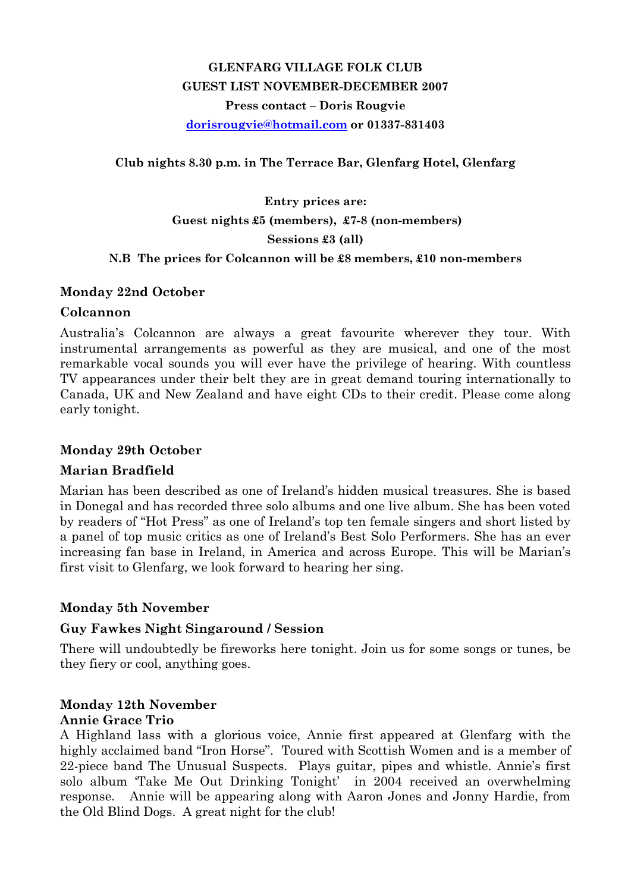# GLENFARG VILLAGE FOLK CLUB GUEST LIST NOVEMBER-DECEMBER 2007 Press contact – Doris Rougvie dorisrougvie@hotmail.com or 01337-831403

Club nights 8.30 p.m. in The Terrace Bar, Glenfarg Hotel, Glenfarg

# Entry prices are: Guest nights £5 (members), £7-8 (non-members) Sessions £3 (all) N.B The prices for Colcannon will be £8 members, £10 non-members

#### Monday 22nd October

#### Colcannon

Australia's Colcannon are always a great favourite wherever they tour. With instrumental arrangements as powerful as they are musical, and one of the most remarkable vocal sounds you will ever have the privilege of hearing. With countless TV appearances under their belt they are in great demand touring internationally to Canada, UK and New Zealand and have eight CDs to their credit. Please come along early tonight.

#### Monday 29th October

#### Marian Bradfield

Marian has been described as one of Ireland's hidden musical treasures. She is based in Donegal and has recorded three solo albums and one live album. She has been voted by readers of "Hot Press" as one of Ireland's top ten female singers and short listed by a panel of top music critics as one of Ireland's Best Solo Performers. She has an ever increasing fan base in Ireland, in America and across Europe. This will be Marian's first visit to Glenfarg, we look forward to hearing her sing.

#### Monday 5th November

#### Guy Fawkes Night Singaround / Session

There will undoubtedly be fireworks here tonight. Join us for some songs or tunes, be they fiery or cool, anything goes.

#### Monday 12th November Annie Grace Trio

A Highland lass with a glorious voice, Annie first appeared at Glenfarg with the highly acclaimed band "Iron Horse". Toured with Scottish Women and is a member of 22-piece band The Unusual Suspects. Plays guitar, pipes and whistle. Annie's first solo album 'Take Me Out Drinking Tonight' in 2004 received an overwhelming response. Annie will be appearing along with Aaron Jones and Jonny Hardie, from the Old Blind Dogs. A great night for the club!